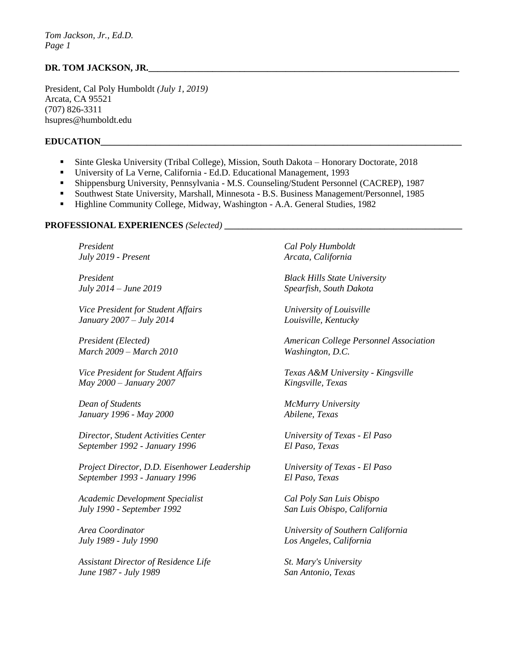## DR. TOM JACKSON, JR.

President, Cal Poly Humboldt *(July 1, 2019)*  Arcata, CA 95521 (707) 826-3311 hsupres@humboldt.edu

#### **EDUCATION**

- Sinte Gleska University (Tribal College), Mission, South Dakota Honorary Doctorate, 2018
- University of La Verne, California Ed.D. Educational Management, 1993
- Shippensburg University, Pennsylvania M.S. Counseling/Student Personnel (CACREP), 1987
- Southwest State University, Marshall, Minnesota B.S. Business Management/Personnel, 1985
- Highline Community College, Midway, Washington A.A. General Studies, 1982

#### **PROFESSIONAL EXPERIENCES** *(Selected)* **\_\_\_\_\_\_\_\_\_\_\_\_\_\_\_\_\_\_\_\_\_\_\_\_\_\_\_\_\_\_\_\_\_\_\_\_\_\_\_\_\_\_\_\_\_\_\_\_\_\_\_\_**

*President Cal Poly Humboldt July 2019 - Present* Arcata, California

*Vice President for Student Affairs University of Louisville January 2007 – July 2014 Louisville, Kentucky* 

*March 2009 – March 2010 Washington, D.C.* 

*May 2000 – January 2007 Kingsville, Texas* 

*Dean of Students McMurry University January 1996 - May 2000 Abilene, Texas* 

*Director, Student Activities Center University of Texas - El Paso September 1992 - January 1996 El Paso, Texas* 

*Project Director, D.D. Eisenhower Leadership University of Texas - El Paso September 1993 - January 1996 El Paso, Texas* 

*Academic Development Specialist Cal Poly San Luis Obispo July 1990 - September 1992 San Luis Obispo, California* 

Assistant Director of Residence Life **St. Mary's University** *June 1987 - July 1989 San Antonio, Texas* 

*President Black Hills State University July 2014 – June 2019 Spearfish, South Dakota* 

*President (Elected) American College Personnel Association* 

*Vice President for Student Affairs Texas A&M University - Kingsville* 

*Area Coordinator University of Southern California July 1989 - July 1990 Los Angeles, California*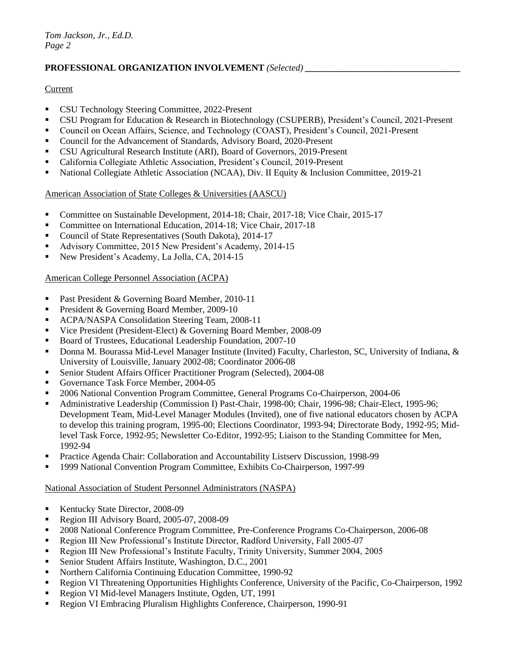## PROFESSIONAL ORGANIZATION INVOLVEMENT *(Selected)*

### **Current**

- **CSU Technology Steering Committee, 2022-Present**
- CSU Program for Education & Research in Biotechnology (CSUPERB), President's Council, 2021-Present
- Council on Ocean Affairs, Science, and Technology (COAST), President's Council, 2021-Present
- Council for the Advancement of Standards, Advisory Board, 2020-Present
- CSU Agricultural Research Institute (ARI), Board of Governors, 2019-Present
- California Collegiate Athletic Association, President's Council, 2019-Present
- National Collegiate Athletic Association (NCAA), Div. II Equity & Inclusion Committee, 2019-21

## American Association of State Colleges & Universities (AASCU)

- Committee on Sustainable Development, 2014-18; Chair, 2017-18; Vice Chair, 2015-17
- Committee on International Education, 2014-18; Vice Chair, 2017-18
- Council of State Representatives (South Dakota), 2014-17
- Advisory Committee, 2015 New President's Academy, 2014-15
- New President's Academy, La Jolla, CA, 2014-15

## American College Personnel Association (ACPA)

- Past President & Governing Board Member, 2010-11
- **President & Governing Board Member, 2009-10**
- ACPA/NASPA Consolidation Steering Team, 2008-11
- Vice President (President-Elect) & Governing Board Member, 2008-09
- Board of Trustees, Educational Leadership Foundation, 2007-10
- Donna M. Bourassa Mid-Level Manager Institute (Invited) Faculty, Charleston, SC, University of Indiana, & University of Louisville, January 2002-08; Coordinator 2006-08
- Senior Student Affairs Officer Practitioner Program (Selected), 2004-08
- Governance Task Force Member, 2004-05
- 2006 National Convention Program Committee, General Programs Co-Chairperson, 2004-06
- Administrative Leadership (Commission I) Past-Chair, 1998-00; Chair, 1996-98; Chair-Elect, 1995-96; Development Team, Mid-Level Manager Modules (Invited), one of five national educators chosen by ACPA to develop this training program, 1995-00; Elections Coordinator, 1993-94; Directorate Body, 1992-95; Midlevel Task Force, 1992-95; Newsletter Co-Editor, 1992-95; Liaison to the Standing Committee for Men, 1992-94
- Practice Agenda Chair: Collaboration and Accountability Listserv Discussion, 1998-99
- 1999 National Convention Program Committee, Exhibits Co-Chairperson, 1997-99

#### National Association of Student Personnel Administrators (NASPA)

- Kentucky State Director, 2008-09
- Region III Advisory Board, 2005-07, 2008-09
- <sup>2008</sup> National Conference Program Committee, Pre-Conference Programs Co-Chairperson, 2006-08
- Region III New Professional's Institute Director, Radford University, Fall 2005-07
- Region III New Professional's Institute Faculty, Trinity University, Summer 2004, 2005
- Senior Student Affairs Institute, Washington, D.C., 2001
- Northern California Continuing Education Committee, 1990-92
- Region VI Threatening Opportunities Highlights Conference, University of the Pacific, Co-Chairperson, 1992
- Region VI Mid-level Managers Institute, Ogden, UT, 1991
- Region VI Embracing Pluralism Highlights Conference, Chairperson, 1990-91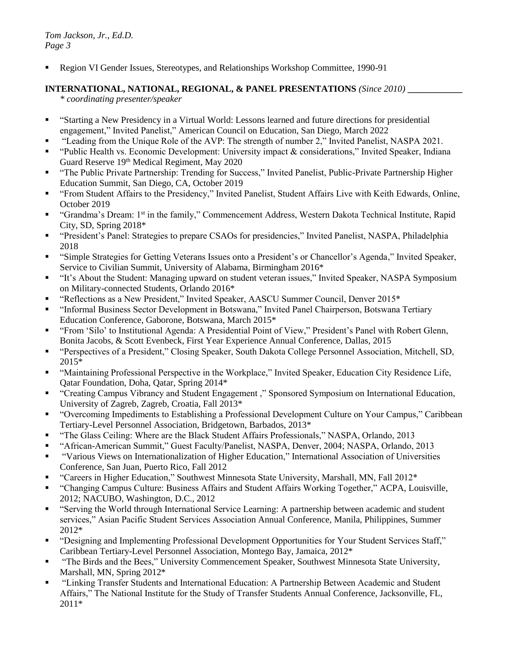Region VI Gender Issues, Stereotypes, and Relationships Workshop Committee, 1990-91

# **INTERNATIONAL, NATIONAL, REGIONAL, & PANEL PRESENTATIONS** *(Since 2010)* **\_\_\_\_\_\_\_\_\_\_\_\_**

*\* coordinating presenter/speaker*

- "Starting a New Presidency in a Virtual World: Lessons learned and future directions for presidential engagement," Invited Panelist," American Council on Education, San Diego, March 2022
- "Leading from the Unique Role of the AVP: The strength of number 2," Invited Panelist, NASPA 2021.
- "Public Health vs. Economic Development: University impact & considerations," Invited Speaker, Indiana Guard Reserve 19<sup>th</sup> Medical Regiment, May 2020
- "The Public Private Partnership: Trending for Success," Invited Panelist, Public-Private Partnership Higher Education Summit, San Diego, CA, October 2019
- "From Student Affairs to the Presidency," Invited Panelist, Student Affairs Live with Keith Edwards, Online, October 2019
- "Grandma's Dream: 1st in the family," Commencement Address, Western Dakota Technical Institute, Rapid City, SD, Spring 2018\*
- "President's Panel: Strategies to prepare CSAOs for presidencies," Invited Panelist, NASPA, Philadelphia 2018
- "Simple Strategies for Getting Veterans Issues onto a President's or Chancellor's Agenda," Invited Speaker, Service to Civilian Summit, University of Alabama, Birmingham 2016\*
- "It's About the Student: Managing upward on student veteran issues," Invited Speaker, NASPA Symposium on Military-connected Students, Orlando 2016\*
- "Reflections as a New President," Invited Speaker, AASCU Summer Council, Denver 2015\*
- "Informal Business Sector Development in Botswana," Invited Panel Chairperson, Botswana Tertiary Education Conference, Gaborone, Botswana, March 2015\*
- "From 'Silo' to Institutional Agenda: A Presidential Point of View," President's Panel with Robert Glenn, Bonita Jacobs, & Scott Evenbeck, First Year Experience Annual Conference, Dallas, 2015
- "Perspectives of a President," Closing Speaker, South Dakota College Personnel Association, Mitchell, SD, 2015\*
- "Maintaining Professional Perspective in the Workplace," Invited Speaker, Education City Residence Life, Qatar Foundation, Doha, Qatar, Spring 2014\*
- "Creating Campus Vibrancy and Student Engagement ," Sponsored Symposium on International Education, University of Zagreb, Zagreb, Croatia, Fall 2013\*
- "Overcoming Impediments to Establishing a Professional Development Culture on Your Campus," Caribbean Tertiary-Level Personnel Association, Bridgetown, Barbados, 2013\*
- "The Glass Ceiling: Where are the Black Student Affairs Professionals," NASPA, Orlando, 2013
- "African-American Summit," Guest Faculty/Panelist, NASPA, Denver, 2004; NASPA, Orlando, 2013
- "Various Views on Internationalization of Higher Education," International Association of Universities Conference, San Juan, Puerto Rico, Fall 2012
- "Careers in Higher Education," Southwest Minnesota State University, Marshall, MN, Fall 2012\*
- "Changing Campus Culture: Business Affairs and Student Affairs Working Together," ACPA, Louisville, 2012; NACUBO, Washington, D.C., 2012
- "Serving the World through International Service Learning: A partnership between academic and student services," Asian Pacific Student Services Association Annual Conference, Manila, Philippines, Summer 2012\*
- "Designing and Implementing Professional Development Opportunities for Your Student Services Staff," Caribbean Tertiary-Level Personnel Association, Montego Bay, Jamaica, 2012\*
- "The Birds and the Bees," University Commencement Speaker, Southwest Minnesota State University, Marshall, MN, Spring 2012\*
- "Linking Transfer Students and International Education: A Partnership Between Academic and Student Affairs," The National Institute for the Study of Transfer Students Annual Conference, Jacksonville, FL, 2011\*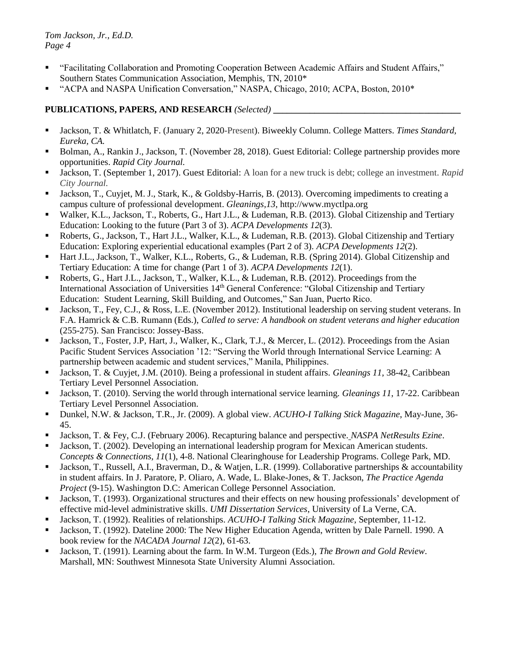- "Facilitating Collaboration and Promoting Cooperation Between Academic Affairs and Student Affairs," Southern States Communication Association, Memphis, TN, 2010\*
- "ACPA and NASPA Unification Conversation," NASPA, Chicago, 2010; ACPA, Boston, 2010\*

# **PUBLICATIONS, PAPERS, AND RESEARCH** *(Selected)* **\_\_\_\_\_\_\_\_\_\_\_\_\_\_\_\_\_\_\_\_\_\_\_\_\_\_\_\_\_\_\_\_\_\_\_\_\_\_\_\_\_**

- Jackson, T. & Whitlatch, F. (January 2, 2020-Present). Biweekly Column. College Matters. *Times Standard, Eureka, CA.*
- Bolman, A., Rankin J., Jackson, T. (November 28, 2018). Guest Editorial: College partnership provides more opportunities. *Rapid City Journal.*
- Jackson, T. (September 1, 2017). Guest Editorial: A loan for a new truck is debt; college an investment. *Rapid City Journal.*
- Jackson, T., Cuyjet, M. J., Stark, K., & Goldsby-Harris, B. (2013). Overcoming impediments to creating a campus culture of professional development. *Gleanings,13*, http://www.myctlpa.org
- Walker, K.L., Jackson, T., Roberts, G., Hart J.L., & Ludeman, R.B. (2013). Global Citizenship and Tertiary Education: Looking to the future (Part 3 of 3). *ACPA Developments 12*(3).
- Roberts, G., Jackson, T., Hart J.L., Walker, K.L., & Ludeman, R.B. (2013). Global Citizenship and Tertiary Education: Exploring experiential educational examples (Part 2 of 3). *ACPA Developments 12*(2).
- Hart J.L., Jackson, T., Walker, K.L., Roberts, G., & Ludeman, R.B. (Spring 2014). Global Citizenship and Tertiary Education: A time for change (Part 1 of 3). *ACPA Developments 12*(1).
- Roberts, G., Hart J.L., Jackson, T., Walker, K.L., & Ludeman, R.B. (2012). Proceedings from the International Association of Universities 14<sup>th</sup> General Conference: "Global Citizenship and Tertiary Education: Student Learning, Skill Building, and Outcomes," San Juan, Puerto Rico.
- Iackson, T., Fey, C.J., & Ross, L.E. (November 2012). Institutional leadership on serving student veterans. In F.A. Hamrick & C.B. Rumann (Eds.), *Called to serve: A handbook on student veterans and higher education* (255-275). San Francisco: Jossey-Bass.
- Jackson, T., Foster, J.P, Hart, J., Walker, K., Clark, T.J., & Mercer, L. (2012). Proceedings from the Asian Pacific Student Services Association '12: "Serving the World through International Service Learning: A partnership between academic and student services," Manila, Philippines.
- Jackson, T. & Cuyjet, J.M. (2010). Being a professional in student affairs. *Gleanings 11*, 38-42. Caribbean Tertiary Level Personnel Association.
- Jackson, T. (2010). Serving the world through international service learning. *Gleanings 11*, 17-22. Caribbean Tertiary Level Personnel Association.
- Dunkel, N.W. & Jackson, T.R., Jr. (2009). A global view. *ACUHO-I Talking Stick Magazine*, May-June, 36- 45.
- Jackson, T. & Fey, C.J. (February 2006). Recapturing balance and perspective. *NASPA NetResults Ezine*.
- Jackson, T. (2002). Developing an international leadership program for Mexican American students. *Concepts & Connections, 11*(1), 4-8. National Clearinghouse for Leadership Programs. College Park, MD.
- Jackson, T., Russell, A.I., Braverman, D., & Watjen, L.R. (1999). Collaborative partnerships & accountability in student affairs. In J. Paratore, P. Oliaro, A. Wade, L. Blake-Jones, & T. Jackson, *The Practice Agenda Project* (9-15). Washington D.C: American College Personnel Association.
- Jackson, T. (1993). Organizational structures and their effects on new housing professionals' development of effective mid-level administrative skills. *UMI Dissertation Services*, University of La Verne, CA.
- Jackson, T. (1992). Realities of relationships. *ACUHO-I Talking Stick Magazine*, September, 11-12.
- Jackson, T. (1992). Dateline 2000: The New Higher Education Agenda, written by Dale Parnell. 1990. A book review for the *NACADA Journal 12*(2), 61-63.
- Jackson, T. (1991). Learning about the farm. In W.M. Turgeon (Eds.), *The Brown and Gold Review*. Marshall, MN: Southwest Minnesota State University Alumni Association.